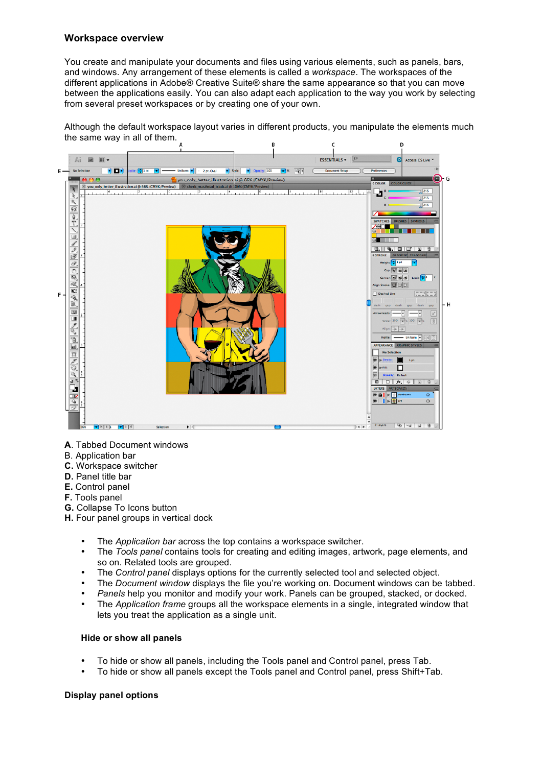## **Workspace overview**

You create and manipulate your documents and files using various elements, such as panels, bars, and windows. Any arrangement of these elements is called a *workspace*. The workspaces of the different applications in Adobe® Creative Suite® share the same appearance so that you can move between the applications easily. You can also adapt each application to the way you work by selecting from several preset workspaces or by creating one of your own.

Although the default workspace layout varies in different products, you manipulate the elements much the same way in all of them.



- **A**. Tabbed Document windows
- B. Application bar
- **C.** Workspace switcher
- **D.** Panel title bar
- **E.** Control panel
- **F.** Tools panel
- **G.** Collapse To Icons button
- **H.** Four panel groups in vertical dock
	- The *Application bar* across the top contains a workspace switcher.<br>• The *Tools panel* contains tools for creating and editing images arty
	- The *Tools panel* contains tools for creating and editing images, artwork, page elements, and so on. Related tools are grouped.
	- The *Control panel* displays options for the currently selected tool and selected object.
	- The *Document window* displays the file you're working on. Document windows can be tabbed.
	- *Panels* help you monitor and modify your work. Panels can be grouped, stacked, or docked.
	- The *Application frame* groups all the workspace elements in a single, integrated window that lets you treat the application as a single unit.

#### **Hide or show all panels**

- To hide or show all panels, including the Tools panel and Control panel, press Tab.
- To hide or show all panels except the Tools panel and Control panel, press Shift+Tab.

## **Display panel options**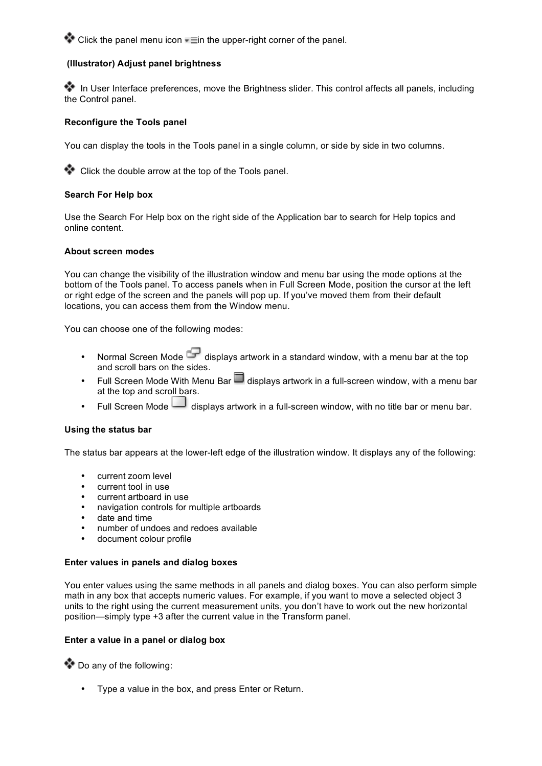$\therefore$  Click the panel menu icon  $\overline{-}$  in the upper-right corner of the panel.

# **(Illustrator) Adjust panel brightness**

**In User Interface preferences, move the Brightness slider. This control affects all panels, including** the Control panel.

## **Reconfigure the Tools panel**

You can display the tools in the Tools panel in a single column, or side by side in two columns.

Click the double arrow at the top of the Tools panel.

### **Search For Help box**

Use the Search For Help box on the right side of the Application bar to search for Help topics and online content.

#### **About screen modes**

You can change the visibility of the illustration window and menu bar using the mode options at the bottom of the Tools panel. To access panels when in Full Screen Mode, position the cursor at the left or right edge of the screen and the panels will pop up. If you've moved them from their default locations, you can access them from the Window menu.

You can choose one of the following modes:

- Normal Screen Mode displays artwork in a standard window, with a menu bar at the top and scroll bars on the sides.
- Full Screen Mode With Menu Bar  $\Box$  displays artwork in a full-screen window, with a menu bar at the top and scroll bars.
- Full Screen Mode displays artwork in a full-screen window, with no title bar or menu bar.

#### **Using the status bar**

The status bar appears at the lower-left edge of the illustration window. It displays any of the following:

- current zoom level
- current tool in use
- current artboard in use
- navigation controls for multiple artboards
- date and time
- number of undoes and redoes available
- document colour profile

### **Enter values in panels and dialog boxes**

You enter values using the same methods in all panels and dialog boxes. You can also perform simple math in any box that accepts numeric values. For example, if you want to move a selected object 3 units to the right using the current measurement units, you don't have to work out the new horizontal position—simply type +3 after the current value in the Transform panel.

#### **Enter a value in a panel or dialog box**

Do any of the following:

• Type a value in the box, and press Enter or Return.